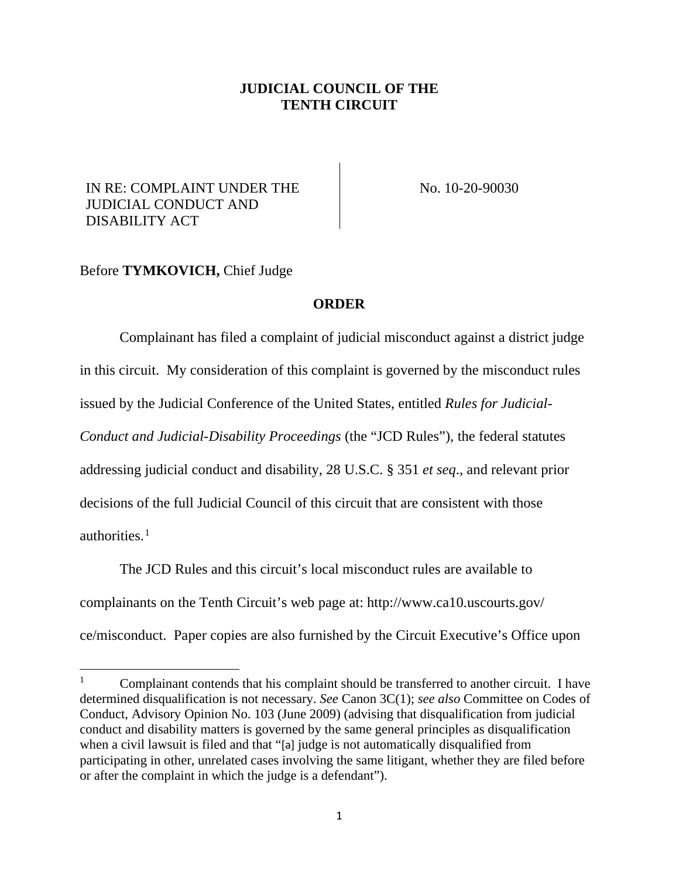## **JUDICIAL COUNCIL OF THE TENTH CIRCUIT**

## IN RE: COMPLAINT UNDER THE JUDICIAL CONDUCT AND DISABILITY ACT

No. 10-20-90030

## Before **TYMKOVICH,** Chief Judge

## **ORDER**

Complainant has filed a complaint of judicial misconduct against a district judge in this circuit. My consideration of this complaint is governed by the misconduct rules issued by the Judicial Conference of the United States, entitled *Rules for Judicial-Conduct and Judicial-Disability Proceedings* (the "JCD Rules"), the federal statutes addressing judicial conduct and disability, 28 U.S.C. § 351 *et seq*., and relevant prior decisions of the full Judicial Council of this circuit that are consistent with those authorities. $<sup>1</sup>$  $<sup>1</sup>$  $<sup>1</sup>$ </sup>

The JCD Rules and this circuit's local misconduct rules are available to complainants on the Tenth Circuit's web page at: http://www.ca10.uscourts.gov/ ce/misconduct. Paper copies are also furnished by the Circuit Executive's Office upon

<span id="page-0-0"></span> $1$  Complainant contends that his complaint should be transferred to another circuit. I have determined disqualification is not necessary. *See* Canon 3C(1); *see also* Committee on Codes of Conduct, Advisory Opinion No. 103 (June 2009) (advising that disqualification from judicial conduct and disability matters is governed by the same general principles as disqualification when a civil lawsuit is filed and that "[a] judge is not automatically disqualified from participating in other, unrelated cases involving the same litigant, whether they are filed before or after the complaint in which the judge is a defendant").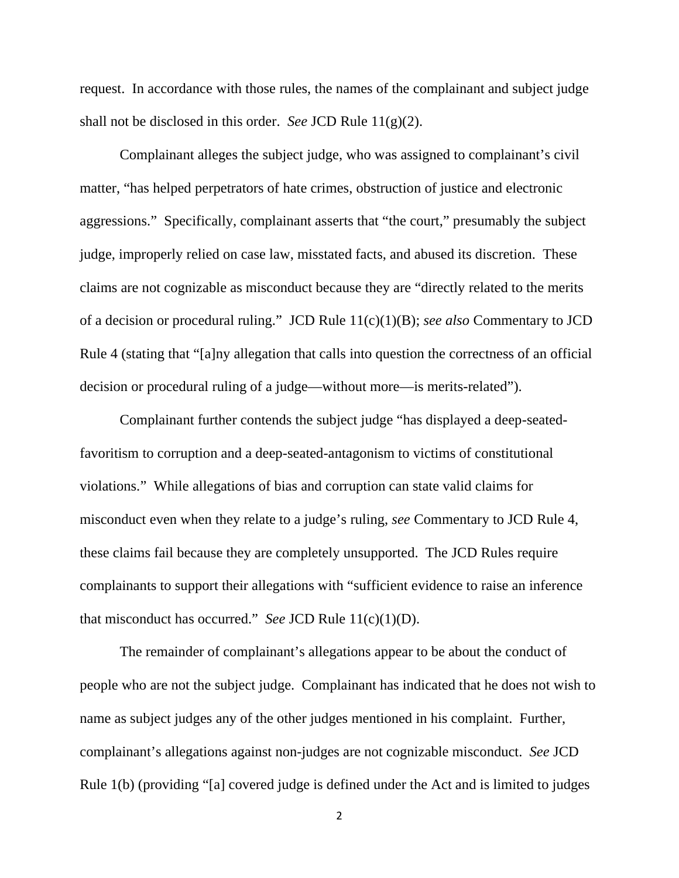request. In accordance with those rules, the names of the complainant and subject judge shall not be disclosed in this order. *See* JCD Rule 11(g)(2).

Complainant alleges the subject judge, who was assigned to complainant's civil matter, "has helped perpetrators of hate crimes, obstruction of justice and electronic aggressions." Specifically, complainant asserts that "the court," presumably the subject judge, improperly relied on case law, misstated facts, and abused its discretion. These claims are not cognizable as misconduct because they are "directly related to the merits of a decision or procedural ruling." JCD Rule 11(c)(1)(B); *see also* Commentary to JCD Rule 4 (stating that "[a]ny allegation that calls into question the correctness of an official decision or procedural ruling of a judge—without more—is merits-related").

Complainant further contends the subject judge "has displayed a deep-seatedfavoritism to corruption and a deep-seated-antagonism to victims of constitutional violations." While allegations of bias and corruption can state valid claims for misconduct even when they relate to a judge's ruling, *see* Commentary to JCD Rule 4, these claims fail because they are completely unsupported. The JCD Rules require complainants to support their allegations with "sufficient evidence to raise an inference that misconduct has occurred." *See* JCD Rule 11(c)(1)(D).

The remainder of complainant's allegations appear to be about the conduct of people who are not the subject judge. Complainant has indicated that he does not wish to name as subject judges any of the other judges mentioned in his complaint. Further, complainant's allegations against non-judges are not cognizable misconduct. *See* JCD Rule 1(b) (providing "[a] covered judge is defined under the Act and is limited to judges

2